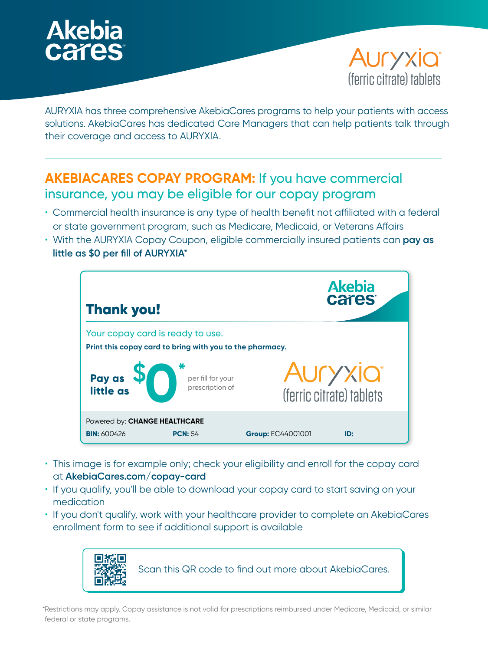



AURYXIA has three comprehensive AkebiaCares programs to help your patients with access solutions. AkebiaCares has dedicated Care Managers that can help patients talk through their coverage and access to AURYXIA.

## **AKEBIACARES COPAY PROGRAM:** If you have commercial insurance, you may be eligible for our copay program

- Commercial health insurance is any type of health benefit not affiliated with a federal or state government program, such as Medicare, Medicaid, or Veterans Affairs
- With the AURYXIA Copay Coupon, eligible commercially insured patients can **pay as little as \$0 per fill of AURYXIA\***



- This image is for example only; check your eligibility and enroll for the copay card at **AkebiaCares.com/copay-card**
- If you qualify, you'll be able to download your copay card to start saving on your medication
- If you don't qualify, work with your healthcare provider to complete an AkebiaCares enrollment form to see if additional support is available



\*Restrictions may apply. Copay assistance is not valid for prescriptions reimbursed under Medicare, Medicaid, or similar federal or state programs.